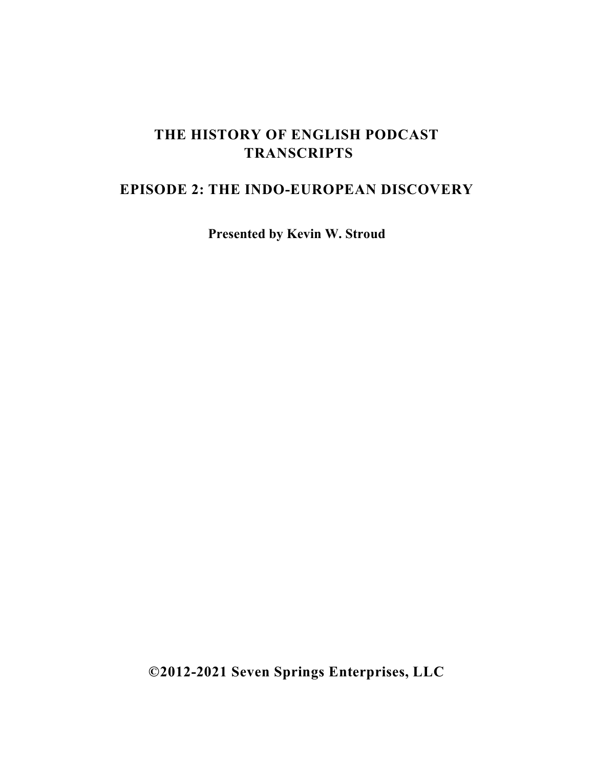## **THE HISTORY OF ENGLISH PODCAST TRANSCRIPTS**

## **EPISODE 2: THE INDO-EUROPEAN DISCOVERY**

**Presented by Kevin W. Stroud**

**©2012-2021 Seven Springs Enterprises, LLC**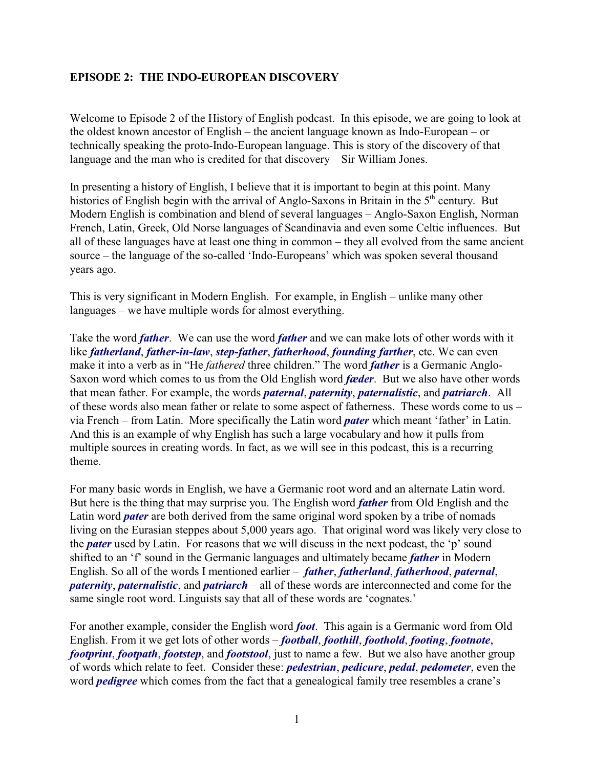## **EPISODE 2: THE INDO-EUROPEAN DISCOVERY**

Welcome to Episode 2 of the History of English podcast. In this episode, we are going to look at the oldest known ancestor of English – the ancient language known as Indo-European – or technically speaking the proto-Indo-European language. This is story of the discovery of that language and the man who is credited for that discovery – Sir William Jones.

In presenting a history of English, I believe that it is important to begin at this point. Many histories of English begin with the arrival of Anglo-Saxons in Britain in the  $5<sup>th</sup>$  century. But Modern English is combination and blend of several languages – Anglo-Saxon English, Norman French, Latin, Greek, Old Norse languages of Scandinavia and even some Celtic influences. But all of these languages have at least one thing in common – they all evolved from the same ancient source – the language of the so-called 'Indo-Europeans' which was spoken several thousand years ago.

This is very significant in Modern English. For example, in English – unlike many other languages – we have multiple words for almost everything.

Take the word *father*. We can use the word *father* and we can make lots of other words with it like *fatherland*, *father-in-law*, *step-father*, *fatherhood*, *founding farther*, etc. We can even make it into a verb as in "He *fathered* three children." The word *father* is a Germanic Anglo-Saxon word which comes to us from the Old English word *fæder*. But we also have other words that mean father. For example, the words *paternal*, *paternity*, *paternalistic*, and *patriarch*. All of these words also mean father or relate to some aspect of fatherness. These words come to us – via French – from Latin. More specifically the Latin word *pater* which meant 'father' in Latin. And this is an example of why English has such a large vocabulary and how it pulls from multiple sources in creating words. In fact, as we will see in this podcast, this is a recurring theme.

For many basic words in English, we have a Germanic root word and an alternate Latin word. But here is the thing that may surprise you. The English word *father* from Old English and the Latin word *pater* are both derived from the same original word spoken by a tribe of nomads living on the Eurasian steppes about 5,000 years ago. That original word was likely very close to the *pater* used by Latin. For reasons that we will discuss in the next podcast, the 'p' sound shifted to an 'f' sound in the Germanic languages and ultimately became *father* in Modern English. So all of the words I mentioned earlier – *father*, *fatherland*, *fatherhood*, *paternal*, *paternity*, *paternalistic*, and *patriarch* – all of these words are interconnected and come for the same single root word. Linguists say that all of these words are 'cognates.'

For another example, consider the English word *foot*. This again is a Germanic word from Old English. From it we get lots of other words – *football*, *foothill*, *foothold*, *footing*, *footnote*, *footprint*, *footpath*, *footstep*, and *footstool*, just to name a few. But we also have another group of words which relate to feet. Consider these: *pedestrian*, *pedicure*, *pedal*, *pedometer*, even the word *pedigree* which comes from the fact that a genealogical family tree resembles a crane's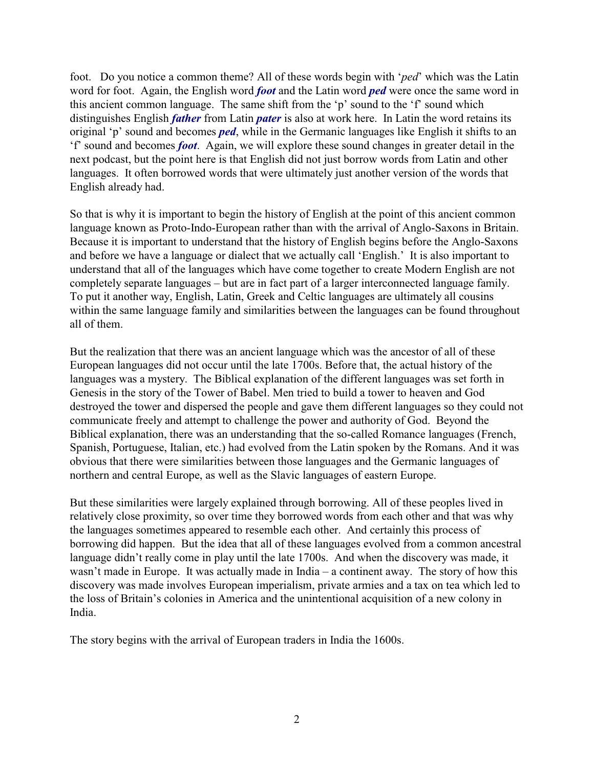foot. Do you notice a common theme? All of these words begin with '*ped*' which was the Latin word for foot. Again, the English word *foot* and the Latin word *ped* were once the same word in this ancient common language. The same shift from the 'p' sound to the 'f' sound which distinguishes English *father* from Latin *pater* is also at work here. In Latin the word retains its original 'p' sound and becomes *ped*, while in the Germanic languages like English it shifts to an 'f' sound and becomes *foot*. Again, we will explore these sound changes in greater detail in the next podcast, but the point here is that English did not just borrow words from Latin and other languages. It often borrowed words that were ultimately just another version of the words that English already had.

So that is why it is important to begin the history of English at the point of this ancient common language known as Proto-Indo-European rather than with the arrival of Anglo-Saxons in Britain. Because it is important to understand that the history of English begins before the Anglo-Saxons and before we have a language or dialect that we actually call 'English.' It is also important to understand that all of the languages which have come together to create Modern English are not completely separate languages – but are in fact part of a larger interconnected language family. To put it another way, English, Latin, Greek and Celtic languages are ultimately all cousins within the same language family and similarities between the languages can be found throughout all of them.

But the realization that there was an ancient language which was the ancestor of all of these European languages did not occur until the late 1700s. Before that, the actual history of the languages was a mystery. The Biblical explanation of the different languages was set forth in Genesis in the story of the Tower of Babel. Men tried to build a tower to heaven and God destroyed the tower and dispersed the people and gave them different languages so they could not communicate freely and attempt to challenge the power and authority of God. Beyond the Biblical explanation, there was an understanding that the so-called Romance languages (French, Spanish, Portuguese, Italian, etc.) had evolved from the Latin spoken by the Romans. And it was obvious that there were similarities between those languages and the Germanic languages of northern and central Europe, as well as the Slavic languages of eastern Europe.

But these similarities were largely explained through borrowing. All of these peoples lived in relatively close proximity, so over time they borrowed words from each other and that was why the languages sometimes appeared to resemble each other. And certainly this process of borrowing did happen. But the idea that all of these languages evolved from a common ancestral language didn't really come in play until the late 1700s. And when the discovery was made, it wasn't made in Europe. It was actually made in India – a continent away. The story of how this discovery was made involves European imperialism, private armies and a tax on tea which led to the loss of Britain's colonies in America and the unintentional acquisition of a new colony in India.

The story begins with the arrival of European traders in India the 1600s.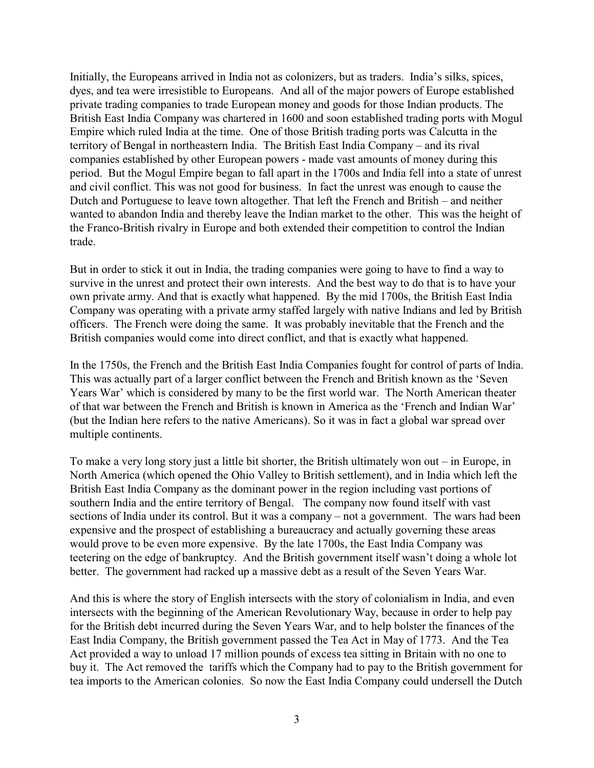Initially, the Europeans arrived in India not as colonizers, but as traders. India's silks, spices, dyes, and tea were irresistible to Europeans. And all of the major powers of Europe established private trading companies to trade European money and goods for those Indian products. The British East India Company was chartered in 1600 and soon established trading ports with Mogul Empire which ruled India at the time. One of those British trading ports was Calcutta in the territory of Bengal in northeastern India. The British East India Company – and its rival companies established by other European powers - made vast amounts of money during this period. But the Mogul Empire began to fall apart in the 1700s and India fell into a state of unrest and civil conflict. This was not good for business. In fact the unrest was enough to cause the Dutch and Portuguese to leave town altogether. That left the French and British – and neither wanted to abandon India and thereby leave the Indian market to the other. This was the height of the Franco-British rivalry in Europe and both extended their competition to control the Indian trade.

But in order to stick it out in India, the trading companies were going to have to find a way to survive in the unrest and protect their own interests. And the best way to do that is to have your own private army. And that is exactly what happened. By the mid 1700s, the British East India Company was operating with a private army staffed largely with native Indians and led by British officers. The French were doing the same. It was probably inevitable that the French and the British companies would come into direct conflict, and that is exactly what happened.

In the 1750s, the French and the British East India Companies fought for control of parts of India. This was actually part of a larger conflict between the French and British known as the 'Seven Years War' which is considered by many to be the first world war. The North American theater of that war between the French and British is known in America as the 'French and Indian War' (but the Indian here refers to the native Americans). So it was in fact a global war spread over multiple continents.

To make a very long story just a little bit shorter, the British ultimately won out – in Europe, in North America (which opened the Ohio Valley to British settlement), and in India which left the British East India Company as the dominant power in the region including vast portions of southern India and the entire territory of Bengal. The company now found itself with vast sections of India under its control. But it was a company – not a government. The wars had been expensive and the prospect of establishing a bureaucracy and actually governing these areas would prove to be even more expensive. By the late 1700s, the East India Company was teetering on the edge of bankruptcy. And the British government itself wasn't doing a whole lot better. The government had racked up a massive debt as a result of the Seven Years War.

And this is where the story of English intersects with the story of colonialism in India, and even intersects with the beginning of the American Revolutionary Way, because in order to help pay for the British debt incurred during the Seven Years War, and to help bolster the finances of the East India Company, the British government passed the Tea Act in May of 1773. And the Tea Act provided a way to unload 17 million pounds of excess tea sitting in Britain with no one to buy it. The Act removed the tariffs which the Company had to pay to the British government for tea imports to the American colonies. So now the East India Company could undersell the Dutch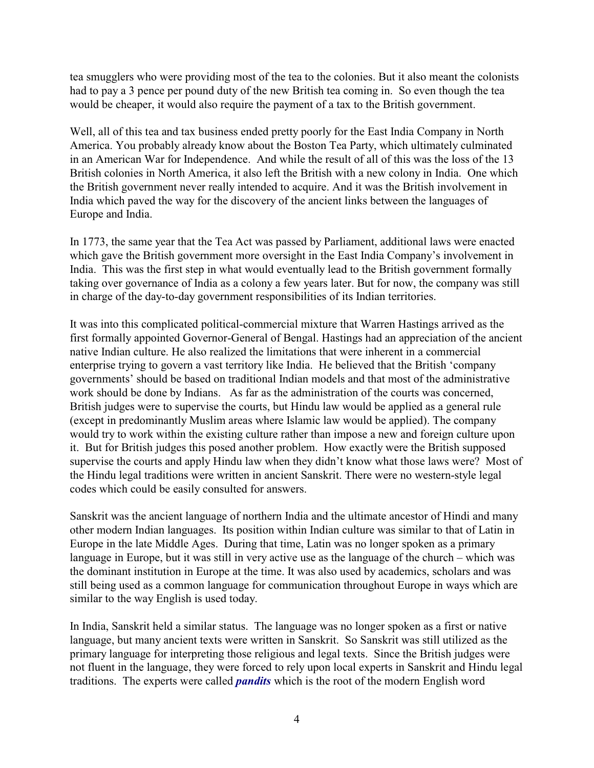tea smugglers who were providing most of the tea to the colonies. But it also meant the colonists had to pay a 3 pence per pound duty of the new British tea coming in. So even though the tea would be cheaper, it would also require the payment of a tax to the British government.

Well, all of this tea and tax business ended pretty poorly for the East India Company in North America. You probably already know about the Boston Tea Party, which ultimately culminated in an American War for Independence. And while the result of all of this was the loss of the 13 British colonies in North America, it also left the British with a new colony in India. One which the British government never really intended to acquire. And it was the British involvement in India which paved the way for the discovery of the ancient links between the languages of Europe and India.

In 1773, the same year that the Tea Act was passed by Parliament, additional laws were enacted which gave the British government more oversight in the East India Company's involvement in India. This was the first step in what would eventually lead to the British government formally taking over governance of India as a colony a few years later. But for now, the company was still in charge of the day-to-day government responsibilities of its Indian territories.

It was into this complicated political-commercial mixture that Warren Hastings arrived as the first formally appointed Governor-General of Bengal. Hastings had an appreciation of the ancient native Indian culture. He also realized the limitations that were inherent in a commercial enterprise trying to govern a vast territory like India. He believed that the British 'company governments' should be based on traditional Indian models and that most of the administrative work should be done by Indians. As far as the administration of the courts was concerned, British judges were to supervise the courts, but Hindu law would be applied as a general rule (except in predominantly Muslim areas where Islamic law would be applied). The company would try to work within the existing culture rather than impose a new and foreign culture upon it. But for British judges this posed another problem. How exactly were the British supposed supervise the courts and apply Hindu law when they didn't know what those laws were? Most of the Hindu legal traditions were written in ancient Sanskrit. There were no western-style legal codes which could be easily consulted for answers.

Sanskrit was the ancient language of northern India and the ultimate ancestor of Hindi and many other modern Indian languages. Its position within Indian culture was similar to that of Latin in Europe in the late Middle Ages. During that time, Latin was no longer spoken as a primary language in Europe, but it was still in very active use as the language of the church – which was the dominant institution in Europe at the time. It was also used by academics, scholars and was still being used as a common language for communication throughout Europe in ways which are similar to the way English is used today.

In India, Sanskrit held a similar status. The language was no longer spoken as a first or native language, but many ancient texts were written in Sanskrit. So Sanskrit was still utilized as the primary language for interpreting those religious and legal texts. Since the British judges were not fluent in the language, they were forced to rely upon local experts in Sanskrit and Hindu legal traditions. The experts were called *pandits* which is the root of the modern English word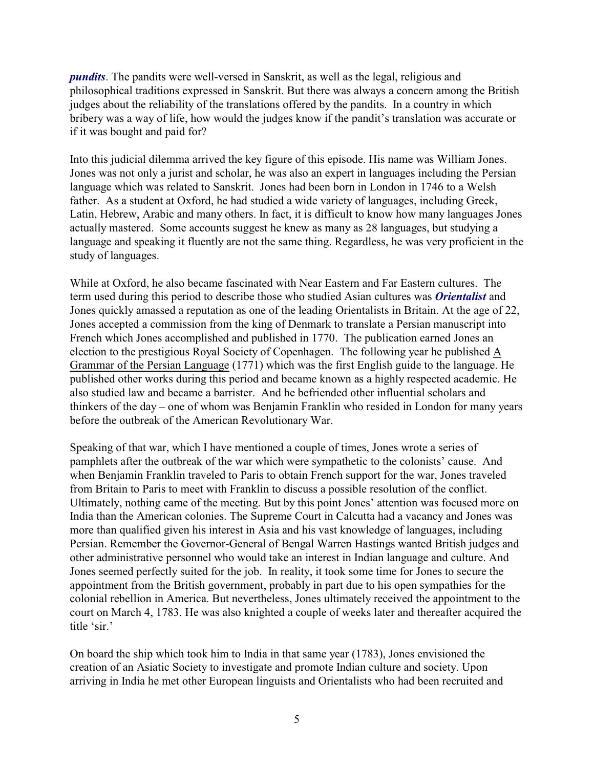*pundits*. The pandits were well-versed in Sanskrit, as well as the legal, religious and philosophical traditions expressed in Sanskrit. But there was always a concern among the British judges about the reliability of the translations offered by the pandits. In a country in which bribery was a way of life, how would the judges know if the pandit's translation was accurate or if it was bought and paid for?

Into this judicial dilemma arrived the key figure of this episode. His name was William Jones. Jones was not only a jurist and scholar, he was also an expert in languages including the Persian language which was related to Sanskrit. Jones had been born in London in 1746 to a Welsh father. As a student at Oxford, he had studied a wide variety of languages, including Greek, Latin, Hebrew, Arabic and many others. In fact, it is difficult to know how many languages Jones actually mastered. Some accounts suggest he knew as many as 28 languages, but studying a language and speaking it fluently are not the same thing. Regardless, he was very proficient in the study of languages.

While at Oxford, he also became fascinated with Near Eastern and Far Eastern cultures. The term used during this period to describe those who studied Asian cultures was *Orientalist* and Jones quickly amassed a reputation as one of the leading Orientalists in Britain. At the age of 22, Jones accepted a commission from the king of Denmark to translate a Persian manuscript into French which Jones accomplished and published in 1770. The publication earned Jones an election to the prestigious Royal Society of Copenhagen. The following year he published A Grammar of the Persian Language (1771) which was the first English guide to the language. He published other works during this period and became known as a highly respected academic. He also studied law and became a barrister. And he befriended other influential scholars and thinkers of the day – one of whom was Benjamin Franklin who resided in London for many years before the outbreak of the American Revolutionary War.

Speaking of that war, which I have mentioned a couple of times, Jones wrote a series of pamphlets after the outbreak of the war which were sympathetic to the colonists' cause. And when Benjamin Franklin traveled to Paris to obtain French support for the war, Jones traveled from Britain to Paris to meet with Franklin to discuss a possible resolution of the conflict. Ultimately, nothing came of the meeting. But by this point Jones' attention was focused more on India than the American colonies. The Supreme Court in Calcutta had a vacancy and Jones was more than qualified given his interest in Asia and his vast knowledge of languages, including Persian. Remember the Governor-General of Bengal Warren Hastings wanted British judges and other administrative personnel who would take an interest in Indian language and culture. And Jones seemed perfectly suited for the job. In reality, it took some time for Jones to secure the appointment from the British government, probably in part due to his open sympathies for the colonial rebellion in America. But nevertheless, Jones ultimately received the appointment to the court on March 4, 1783. He was also knighted a couple of weeks later and thereafter acquired the title 'sir.'

On board the ship which took him to India in that same year (1783), Jones envisioned the creation of an Asiatic Society to investigate and promote Indian culture and society. Upon arriving in India he met other European linguists and Orientalists who had been recruited and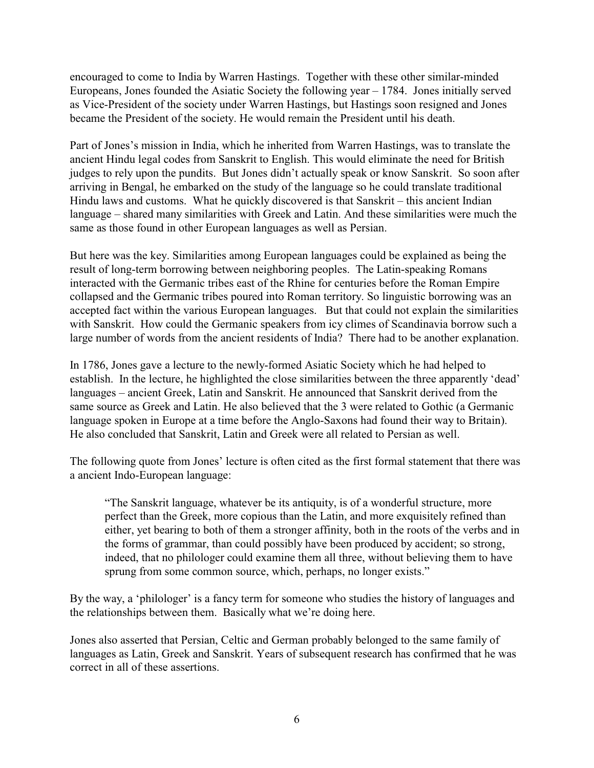encouraged to come to India by Warren Hastings. Together with these other similar-minded Europeans, Jones founded the Asiatic Society the following year – 1784. Jones initially served as Vice-President of the society under Warren Hastings, but Hastings soon resigned and Jones became the President of the society. He would remain the President until his death.

Part of Jones's mission in India, which he inherited from Warren Hastings, was to translate the ancient Hindu legal codes from Sanskrit to English. This would eliminate the need for British judges to rely upon the pundits. But Jones didn't actually speak or know Sanskrit. So soon after arriving in Bengal, he embarked on the study of the language so he could translate traditional Hindu laws and customs. What he quickly discovered is that Sanskrit – this ancient Indian language – shared many similarities with Greek and Latin. And these similarities were much the same as those found in other European languages as well as Persian.

But here was the key. Similarities among European languages could be explained as being the result of long-term borrowing between neighboring peoples. The Latin-speaking Romans interacted with the Germanic tribes east of the Rhine for centuries before the Roman Empire collapsed and the Germanic tribes poured into Roman territory. So linguistic borrowing was an accepted fact within the various European languages. But that could not explain the similarities with Sanskrit. How could the Germanic speakers from icy climes of Scandinavia borrow such a large number of words from the ancient residents of India? There had to be another explanation.

In 1786, Jones gave a lecture to the newly-formed Asiatic Society which he had helped to establish. In the lecture, he highlighted the close similarities between the three apparently 'dead' languages – ancient Greek, Latin and Sanskrit. He announced that Sanskrit derived from the same source as Greek and Latin. He also believed that the 3 were related to Gothic (a Germanic language spoken in Europe at a time before the Anglo-Saxons had found their way to Britain). He also concluded that Sanskrit, Latin and Greek were all related to Persian as well.

The following quote from Jones' lecture is often cited as the first formal statement that there was a ancient Indo-European language:

"The Sanskrit language, whatever be its antiquity, is of a wonderful structure, more perfect than the Greek, more copious than the Latin, and more exquisitely refined than either, yet bearing to both of them a stronger affinity, both in the roots of the verbs and in the forms of grammar, than could possibly have been produced by accident; so strong, indeed, that no philologer could examine them all three, without believing them to have sprung from some common source, which, perhaps, no longer exists."

By the way, a 'philologer' is a fancy term for someone who studies the history of languages and the relationships between them. Basically what we're doing here.

Jones also asserted that Persian, Celtic and German probably belonged to the same family of languages as Latin, Greek and Sanskrit. Years of subsequent research has confirmed that he was correct in all of these assertions.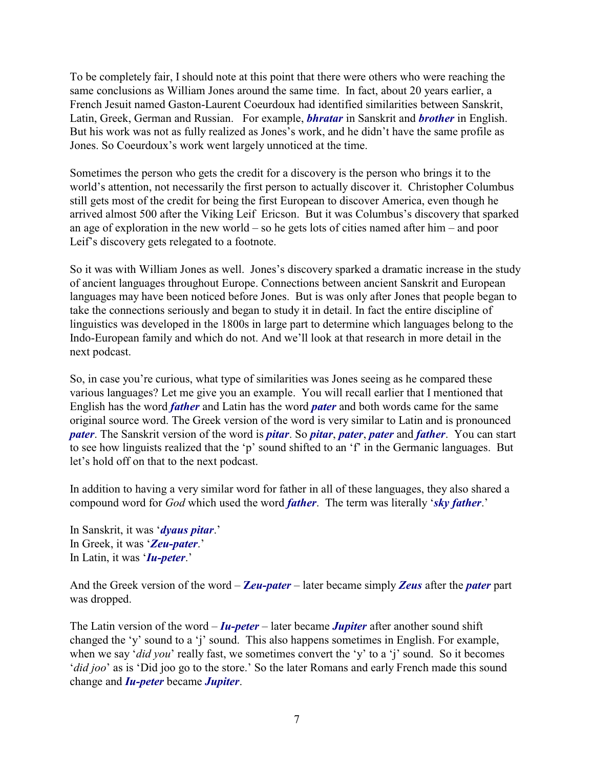To be completely fair, I should note at this point that there were others who were reaching the same conclusions as William Jones around the same time. In fact, about 20 years earlier, a French Jesuit named Gaston-Laurent Coeurdoux had identified similarities between Sanskrit, Latin, Greek, German and Russian. For example, *bhratar* in Sanskrit and *brother* in English. But his work was not as fully realized as Jones's work, and he didn't have the same profile as Jones. So Coeurdoux's work went largely unnoticed at the time.

Sometimes the person who gets the credit for a discovery is the person who brings it to the world's attention, not necessarily the first person to actually discover it. Christopher Columbus still gets most of the credit for being the first European to discover America, even though he arrived almost 500 after the Viking Leif Ericson. But it was Columbus's discovery that sparked an age of exploration in the new world – so he gets lots of cities named after him – and poor Leif's discovery gets relegated to a footnote.

So it was with William Jones as well. Jones's discovery sparked a dramatic increase in the study of ancient languages throughout Europe. Connections between ancient Sanskrit and European languages may have been noticed before Jones. But is was only after Jones that people began to take the connections seriously and began to study it in detail. In fact the entire discipline of linguistics was developed in the 1800s in large part to determine which languages belong to the Indo-European family and which do not. And we'll look at that research in more detail in the next podcast.

So, in case you're curious, what type of similarities was Jones seeing as he compared these various languages? Let me give you an example. You will recall earlier that I mentioned that English has the word *father* and Latin has the word *pater* and both words came for the same original source word. The Greek version of the word is very similar to Latin and is pronounced *pater*. The Sanskrit version of the word is *pitar*. So *pitar*, *pater*, *pater* and *father*. You can start to see how linguists realized that the 'p' sound shifted to an 'f' in the Germanic languages. But let's hold off on that to the next podcast.

In addition to having a very similar word for father in all of these languages, they also shared a compound word for *God* which used the word *father*. The term was literally '*sky father*.'

In Sanskrit, it was '*dyaus pitar*.' In Greek, it was '*Zeu-pater*.' In Latin, it was '*Iu-peter*.'

And the Greek version of the word – **Z***eu-pater* – later became simply *Zeus* after the *pater* part was dropped.

The Latin version of the word – *Iu-peter* – later became *Jupiter* after another sound shift changed the 'y' sound to a 'j' sound. This also happens sometimes in English. For example, when we say '*did you*' really fast, we sometimes convert the 'y' to a 'j' sound. So it becomes '*did joo*' as is 'Did joo go to the store.' So the later Romans and early French made this sound change and *Iu-peter* became *Jupiter*.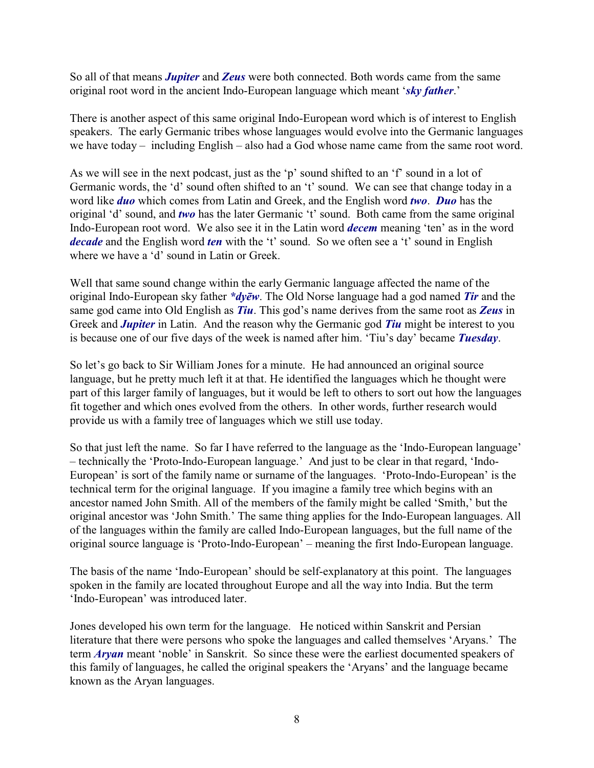So all of that means *Jupiter* and *Zeus* were both connected. Both words came from the same original root word in the ancient Indo-European language which meant '*sky father*.'

There is another aspect of this same original Indo-European word which is of interest to English speakers. The early Germanic tribes whose languages would evolve into the Germanic languages we have today – including English – also had a God whose name came from the same root word.

As we will see in the next podcast, just as the 'p' sound shifted to an 'f' sound in a lot of Germanic words, the 'd' sound often shifted to an 't' sound. We can see that change today in a word like *duo* which comes from Latin and Greek, and the English word *two*. *Duo* has the original 'd' sound, and *two* has the later Germanic 't' sound. Both came from the same original Indo-European root word. We also see it in the Latin word *decem* meaning 'ten' as in the word *decade* and the English word *ten* with the 't' sound. So we often see a 't' sound in English where we have a 'd' sound in Latin or Greek.

Well that same sound change within the early Germanic language affected the name of the original Indo-European sky father *\*dyçw*. The Old Norse language had a god named *Tir* and the same god came into Old English as *Tiu*. This god's name derives from the same root as *Zeus* in Greek and *Jupiter* in Latin. And the reason why the Germanic god *Tiu* might be interest to you is because one of our five days of the week is named after him. 'Tiu's day' became *Tuesday*.

So let's go back to Sir William Jones for a minute. He had announced an original source language, but he pretty much left it at that. He identified the languages which he thought were part of this larger family of languages, but it would be left to others to sort out how the languages fit together and which ones evolved from the others. In other words, further research would provide us with a family tree of languages which we still use today.

So that just left the name. So far I have referred to the language as the 'Indo-European language' – technically the 'Proto-Indo-European language.' And just to be clear in that regard, 'Indo-European' is sort of the family name or surname of the languages. 'Proto-Indo-European' is the technical term for the original language. If you imagine a family tree which begins with an ancestor named John Smith. All of the members of the family might be called 'Smith,' but the original ancestor was 'John Smith.' The same thing applies for the Indo-European languages. All of the languages within the family are called Indo-European languages, but the full name of the original source language is 'Proto-Indo-European' – meaning the first Indo-European language.

The basis of the name 'Indo-European' should be self-explanatory at this point. The languages spoken in the family are located throughout Europe and all the way into India. But the term 'Indo-European' was introduced later.

Jones developed his own term for the language. He noticed within Sanskrit and Persian literature that there were persons who spoke the languages and called themselves 'Aryans.' The term *Aryan* meant 'noble' in Sanskrit. So since these were the earliest documented speakers of this family of languages, he called the original speakers the 'Aryans' and the language became known as the Aryan languages.